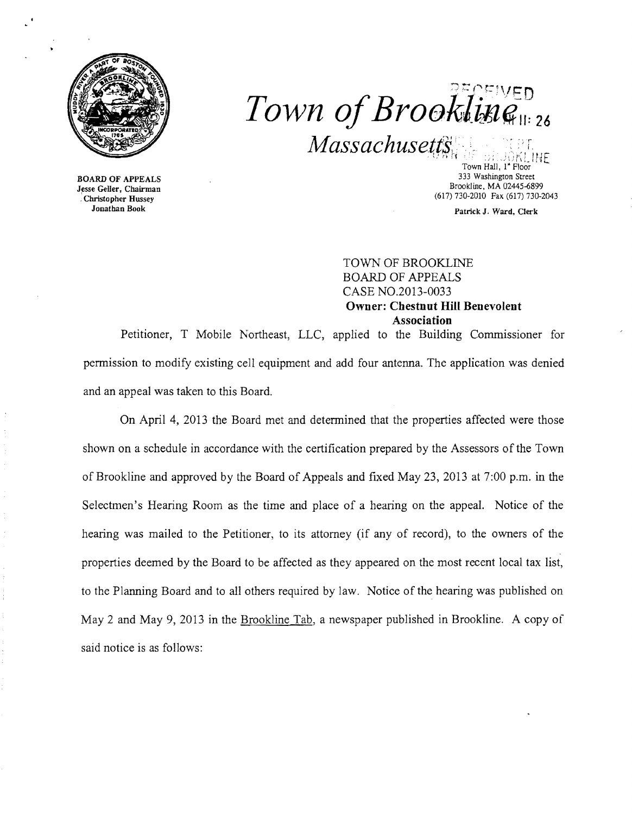

.......**, ..... {""\ ...\_.. ,** <",- ". ~,-: ,1J::n  $Town$  of  $Brookling_{11:26}$  $Massachusetts$ <sub>N</sub>  $\cdots$   $\cdots$   $\cdots$ 

BOARD OF APPEALS Jesse Geller, Chairman . Christopher Hussey Jonathan Book

Town Hall, I" Floor 333 Washington Street Brookline, MA 02445-6899 (617) 730-2010 Fax (617) 730-2043

Patrick J. Ward, Clerk

TOWN OF BROOKLINE BOARD OF APPEALS CASE N0.2013-0033 **Owner: Cbestnut Hill Benevolent Association** 

Petitioner, T Mobile Northeast, LLC, applied to the Building Commissioner for permission to modify existing cell equipment and add four antenna. The application was denied and an appeal was taken to this Board.

On April 4, 2013 the Board met and determined that the properties affected were those shown on a schedule in accordance with the certification prepared by the Assessors of the Town of Brookline and approved by the Board of Appeals and fixed May 23,2013 at 7:00 p.m. in the Selectmen's Hearing Room as the time and place of a hearing on the appeal. Notice of the hearing was mailed to the Petitioner, to its attorney (if any of record), to the owners of the properties deemed by the Board to be affected as they appeared on the most recent local tax list, to the Planning Board and to all others required by law. Notice of the hearing was published on May 2 and May 9, 2013 in the Brookline Tab, a newspaper published in Brookline. A copy of said notice is as follows: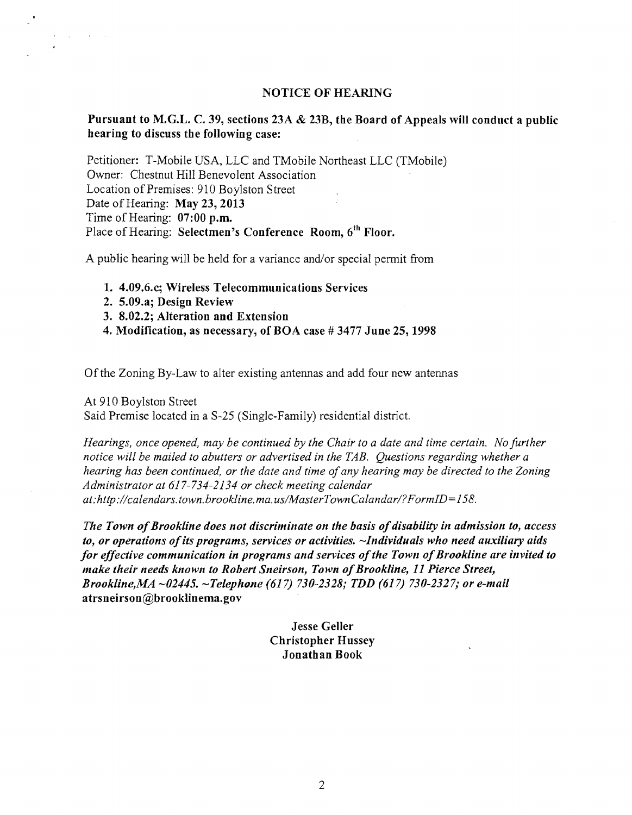## NOTICE OF HEARING

## Pursuant to M.G.L. C. 39, sections 23A & 23B, the Board of Appeals will conduct a public hearing to discuss the following case:

Petitioner: T-Mobile USA, LLC and TMobile Northeast LLC (TMobile) Owner: Chestnut Hill Benevolent Association Location of Premises: 910 Boylston Street Date of Hearing: May 23, 2013 Time of Hearing: 07:00 p.m. Place of Hearing: Selectmen's Conference Room, 6<sup>th</sup> Floor.

A public hearing will be held for a variance and/or special permit from

- 1. 4.09.6.c; Wireless Telecommunications Services
- 2. 5.09.a; Design Review
- 3. 8.02.2; Alteration and Extension
- 4. Modification, as necessary, of BOA case # 3477 June 25,1998

Ofthe Zoning By-Law to alter existing antennas and add four new antennas

At 910 Boylston Street

 $\mathcal{A}^{\mathcal{A}}$  ,  $\mathcal{A}^{\mathcal{A}}$  ,  $\mathcal{A}^{\mathcal{A}}$  ,  $\mathcal{A}^{\mathcal{A}}$  ,  $\mathcal{A}^{\mathcal{A}}$ 

Said Premise located in a S-25 (Single-Family) residential district.

*Hearings, once opened, may be continued by the Chair to a date and time certain. No further notice will be mailed to abutters or advertised in the TAB. Questions regarding whether a hearing has been continued, or the date and time ofany hearing may be directed to the Zoning Administrator at* 617-734-2134 *or check meeting calendar at:http./lcalendars. town. brookline. ma. uslMasterTownCaland arl?FormID=158.* 

The Town of Brookline does not discriminate on the basis of disability in admission to, access *to, or operations ofits programs, services or activities. -Individuals who need auxiliary aids for effective communication in programs and services of the Town of Brookline are invited to make their needs known to Robert Sneirson, Town ofBrooklilte,* 11 *Pierce Street, Brooklilte,MA -02445. -Telephune* (617) *730-2328; TDD* (617) *730-2327; or e-mail*  atrsneirson@brooklinema.gov

> Jesse Geller Christopher Hussey Jonathan Book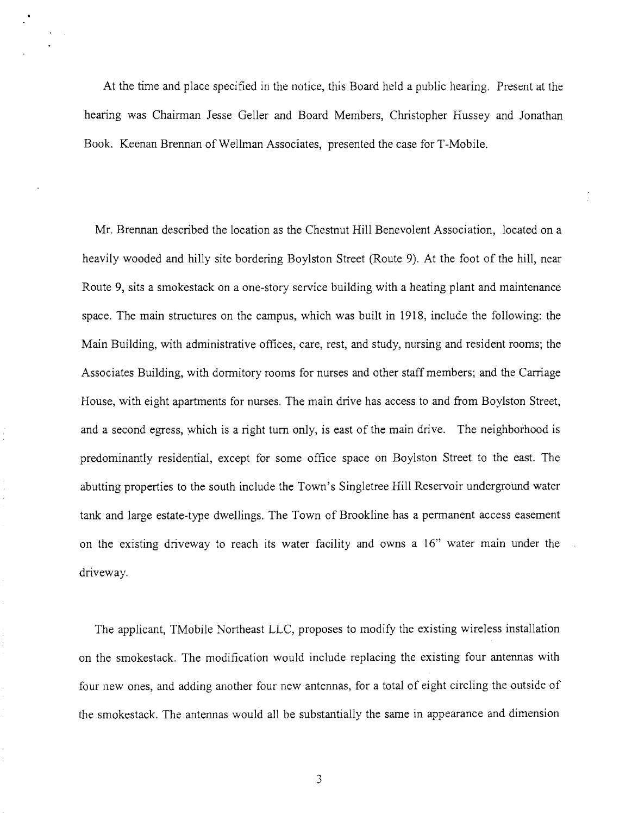At the time and place specified in the notice, this Board held a public hearing. Present at the hearing was Chairman Jesse Geller and Board Members, Christopher Hussey and Jonathan Book. Keenan Brennan of Wellman Associates, presented the case for T-Mobile.

Mr. Brennan described the location as the Chestnut Hill Benevolent Association, located on a heavily wooded and hilly site bordering Boylston Street (Route 9). At the foot of the hill, near Route 9, sits a smokestack on a one-story service building with a heating plant and maintenance space. The main structures on the campus, which was built in 1918, include the following: the Main Building, with administrative offices, care, rest, and study, nursing and resident rooms; the Associates Building, with dormitory rooms for nurses and other staff members; and the Carriage House, with eight apartments for nurses. The main drive has access to and from Boylston Street, and a second egress, which is a right tum only, is east of the main drive. The neighborhood is predominantly residential, except for some office space on Boylston Street to the east. The abutting properties to the south include the Town's Singletree Hill Reservoir underground water tank and large estate-type dwellings. The Town of Brookline has a permanent access easement on the existing driveway to reach its water facility and owns a 16" water main under the driveway.

The applicant, TMobile Northeast LLC, proposes to modify the existing wireless installation on the smokestack. The modification would include replacing the existing four antennas with four new ones, and adding another four new antennas, for a total of eight circling the outside of the smokestack. The antennas would all be substantially the same in appearance and dimension

3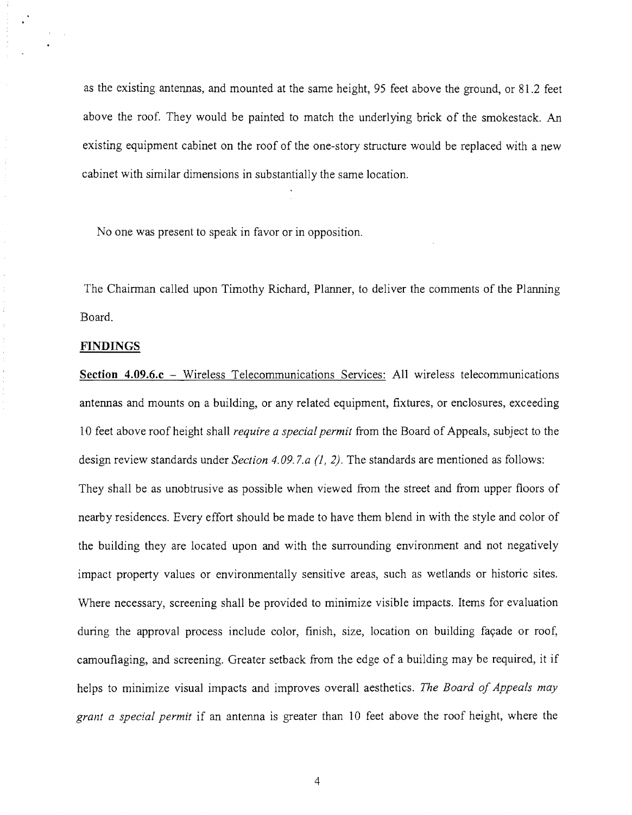as the existing antennas, and mounted at the same height, 95 feet above the ground, or 81.2 feet above the roof. They would be painted to match the underlying brick of the smokestack. An existing equipment cabinet on the roof of the one-story structure would be replaced with a new cabinet with similar dimensions in substantially the same location.

No one was present to speak in favor or in opposition.

The Chairman called upon Timothy Richard, Planner, to deliver the comments of the Planning Board.

## **FINDINGS**

**Section 4.09.6.c** - Wireless Telecommunications Services: All wireless telecommunications antennas and mounts on a building, or any related equipment, fixtures, or enclosures, exceeding 10 feet above roof height shall *require a special permit* from the Board of Appeals, subject to the design review standards under *Section 4.09. 7.a* (1, 2). The standards are mentioned as follows: They shall be as unobtrusive as possible when viewed from the street and from upper floors of nearby residences. Every effort should be made to have them blend in with the style and color of the building they are located upon and with the surrounding environment and not negatively impact property values or environmentally sensitive areas, such as wetlands or historic sites. Where necessary, screening shall be provided to minimize visible impacts. Items for evaluation during the approval process include color, finish, size, location on building façade or roof, camouflaging, and screening. Greater setback from the edge of a building may be required, it if helps to minimize visual impacts and improves overall aesthetics. *The Board of Appeals may grant a special permit* if an antenna is greater than 10 feet above the roof height, where the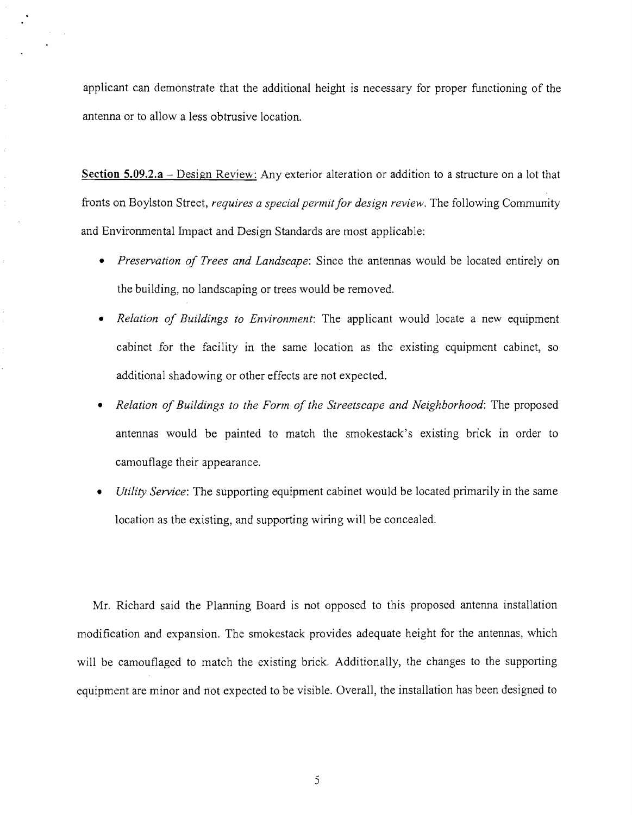applicant can demonstrate that the additional height is necessary for proper functioning of the antenna or to allow a less obtrusive location.

**Section 5.09.2.3** - Design Review: Any exterior alteration or addition to a structure on a lot that fronts on Boylston Street, *requires a special permit for design review.* The following Community and Environmental Impact and Design Standards are most applicable:

- *Preservation of Trees and Landscape:* Since the antennas would be located entirely on the building, no landscaping or trees would be removed.
- *Relation of Buildings to Environment:* The applicant would locate a new equipment cabinet for the facility in the same location as the existing equipment cabinet, so additional shadowing or other effects are not expected.
- *Relation of Buildings to the Form of the Streetscape and Neighborhood:* The proposed antennas would be painted to match the smokestack's existing brick in order to camouflage their appearance.
- *Utility Service*: The supporting equipment cabinet would be located primarily in the same location as the existing, and supporting wiring will be concealed.

Mr. Richard said the Planning Board is not opposed to this proposed antenna installation modification and expansion. The smokestack provides adequate height for the antennas, which will be camouflaged to match the existing brick. Additionally, the changes to the supporting equipment are minor and not expected to be visible. Overall, the installation has been designed to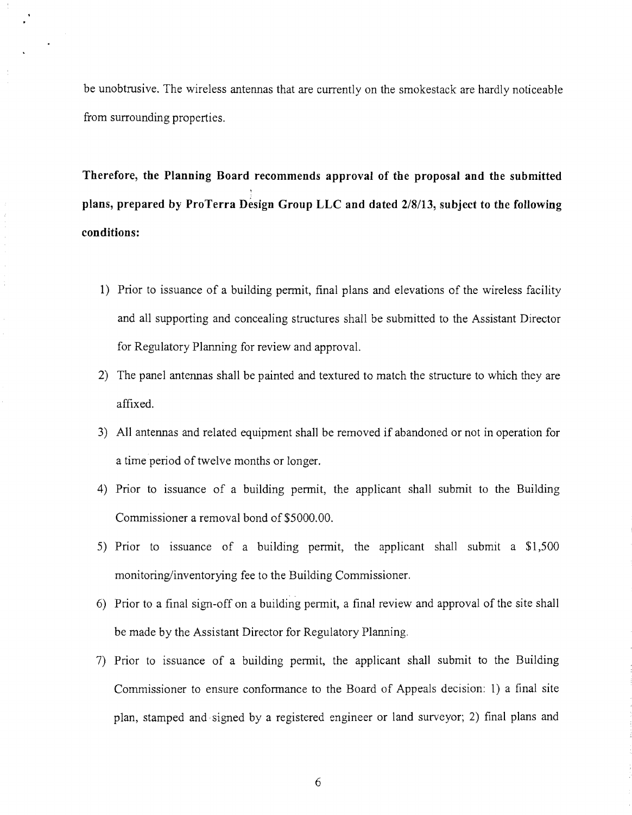be unobtrusive. The wireless antennas that are currently on the smokestack are hardly noticeable from surrounding properties.

**Therefore, the Planning Board recommends approval of the proposal and the submitted plans, prepared by ProTerra Design Group LLC and dated** *2/8/13,* **subject to the following conditions:** 

- 1) Prior to issuance of a building permit, final plans and elevations of the wireless facility and all supporting and concealing structures shall be submitted to the Assistant Director for Regulatory Planning for review and approval.
- 2) The panel antennas shall be painted and textured to match the structure to which they are affixed.
- 3) All antennas and related equipment shall be removed if abandoned or not in operation for a time period of twelve months or longer.
- 4) Prior to issuance of a building permit, the applicant shall submit to the Building Commissioner a removal bond of \$5000.00.
- 5) Prior to issuance of a building permit, the applicant shall submit a \$1,500 monitoring/inventorying fee to the Building Commissioner.
- 6) Prior to a final sign-off on a building permit, a final review and approval of the site shall be made by the Assistant Director for Regulatory Planning.
- 7) Prior to issuance of a building permit, the applicant shall submit to the Building Commissioner to ensure conformance to the Board of Appeals decision: 1) a final site plan, stamped and signed by a registered engineer or land surveyor; 2) final plans and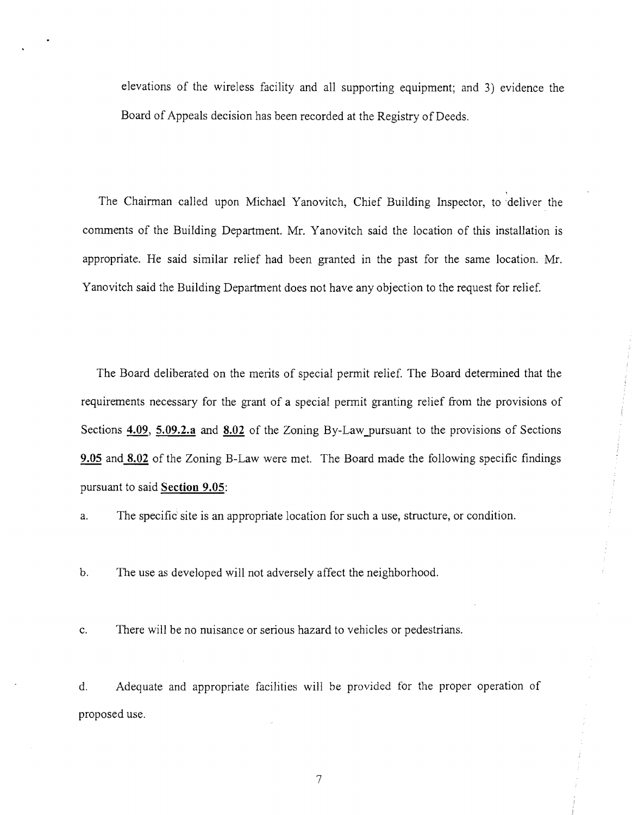elevations of the wireless facility and all supporting equipment; and 3) evidence the Board of Appeals decision has been recorded at the Registry of Deeds.

The Chairman called upon Michael Yanovitch, Chief Building Inspector, to deliver the comments of the Building Department. Mr. Yanovitch said the location of this installation is appropriate. He said similar relief had been granted in the past for the same location. Mr. Yanovitch said the Building Department does not have any objection to the request for relief.

The Board deliberated on the merits of special permit relief. The Board determined that the requirements necessary for the grant of a special permit granting relief from the provisions of Sections **4.09, 5.09.2.a** and **8.02** of the Zoning By-Law pursuant to the provisions of Sections **9.05** and **8.02** of the Zoning B-Law were met. The Board made the following specific findings pursuant to said **Section 9.05:** 

a. The specific site is an appropriate location for such a use, structure, or condition.

b. The use as developed will not adversely affect the neighborhood.

c. There will be no nuisance or serious hazard to vehicles or pedestrians.

d. Adequate and appropriate facilities will be provided for the proper operation of proposed use.

7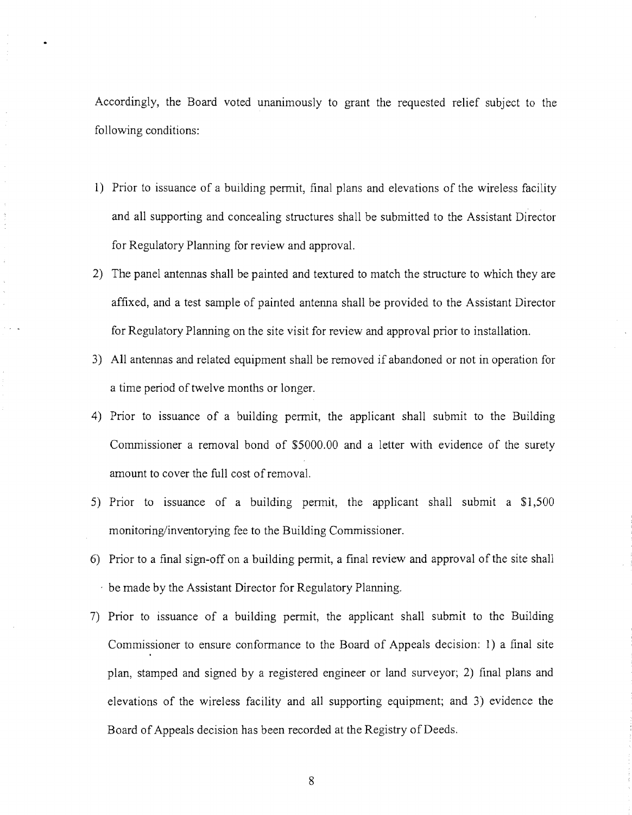Accordingly, the Board voted unanimously to grant the requested relief subject to the following conditions:

- 1) Prior to issuance of a building permit, final plans and elevations of the wireless facility and all supporting and concealing structures shall be submitted to the Assistant Director for Regulatory Planning for review and approval.
- 2) The panel antennas shall be painted and textured to match the structure to which they are affixed, and a test sample of painted antenna shall be provided to the Assistant Director for Regulatory Planning on the site visit for review and approval prior to installation.
- 3) All antennas and related equipment shall be removed if abandoned or not in operation for a time period of twelve months or longer.
- 4) Prior to issuance of a building permit, the applicant shall submit to the Building Commissioner a removal bond of \$5000.00 and a letter with evidence of the surety amount to cover the full cost ofremoval.
- 5) Prior to issuance of a building permit, the applicant shall submit a \$1,500 monitoring/inventorying fee to the Building Commissioner.
- 6) Prior to a final sign-off on a building permit, a final review and approval of the site shall  $\cdot$  be made by the Assistant Director for Regulatory Planning.
- 7) Prior to issuance of a building permit, the applicant shall submit to the Building Commissioner to ensure conformance to the Board of Appeals decision: 1) a final site plan, stamped and signed by a registered engineer or land surveyor; 2) final plans and elevations of the wireless facility and all supporting equipment; and 3) evidence the Board of Appeals decision has been recorded at the Registry of Deeds.